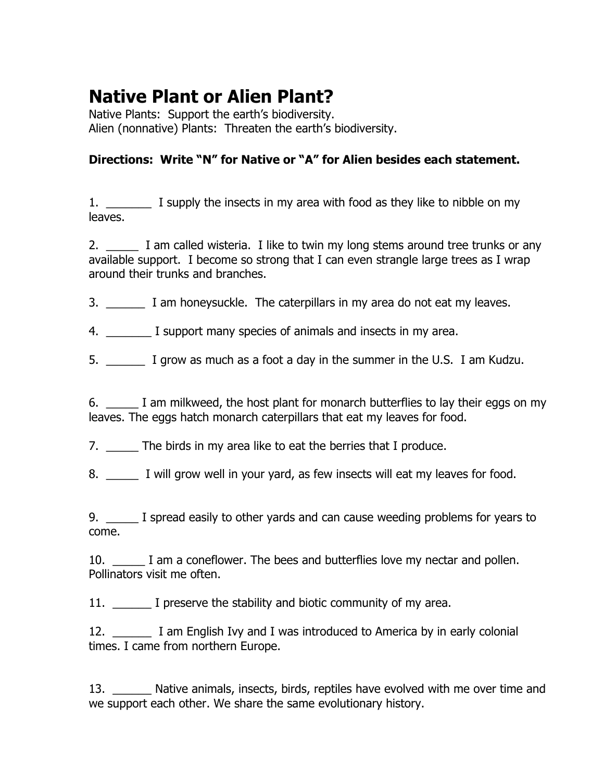## **Native Plant or Alien Plant?**

Native Plants: Support the earth's biodiversity. Alien (nonnative) Plants: Threaten the earth's biodiversity.

## **Directions: Write "N" for Native or "A" for Alien besides each statement.**

1. \_\_\_\_\_\_\_\_ I supply the insects in my area with food as they like to nibble on my leaves.

2. I am called wisteria. I like to twin my long stems around tree trunks or any available support. I become so strong that I can even strangle large trees as I wrap around their trunks and branches.

- 3. **I** am honeysuckle. The caterpillars in my area do not eat my leaves.
- 4. \_\_\_\_\_\_\_ I support many species of animals and insects in my area.
- 5. \_\_\_\_\_\_ I grow as much as a foot a day in the summer in the U.S. I am Kudzu.

6. \_\_\_\_\_ I am milkweed, the host plant for monarch butterflies to lay their eggs on my leaves. The eggs hatch monarch caterpillars that eat my leaves for food.

7. \_\_\_\_\_\_ The birds in my area like to eat the berries that I produce.

8. I will grow well in your yard, as few insects will eat my leaves for food.

9. \_\_\_\_\_ I spread easily to other yards and can cause weeding problems for years to come.

10. **I** am a coneflower. The bees and butterflies love my nectar and pollen. Pollinators visit me often.

11. I preserve the stability and biotic community of my area.

12. \_\_\_\_\_\_ I am English Ivy and I was introduced to America by in early colonial times. I came from northern Europe.

13. Native animals, insects, birds, reptiles have evolved with me over time and we support each other. We share the same evolutionary history.